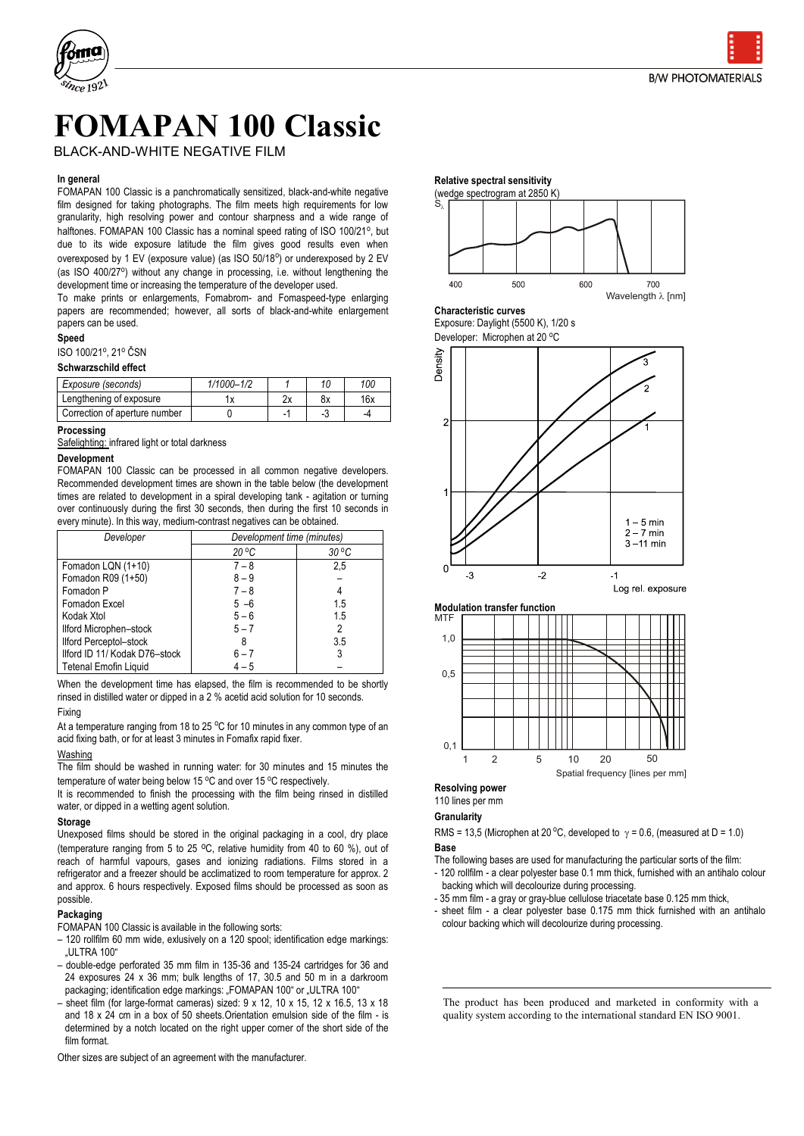



# **FOMAPAN 100 Classic**

BLACK-AND-WHITE NEGATIVE FILM

#### **In general**

FOMAPAN 100 Classic is a panchromatically sensitized, black-and-white negative film designed for taking photographs. The film meets high requirements for low granularity, high resolving power and contour sharpness and a wide range of halftones. FOMAPAN 100 Classic has a nominal speed rating of ISO 100/21°, but due to its wide exposure latitude the film gives good results even when overexposed by 1 EV (exposure value) (as ISO 50/18°) or underexposed by 2 EV (as ISO 400/27°) without any change in processing, i.e. without lengthening the development time or increasing the temperature of the developer used.

To make prints or enlargements, Fomabrom- and Fomaspeed-type enlarging papers are recommended; however, all sorts of black-and-white enlargement papers can be used.

### **Speed**

## ISO 100/21°, 21° ČSN

## **Schwarzschild effect**

| Exposure (seconds)            | $1/1000 - 1/2$ |     | 11 | 100 |
|-------------------------------|----------------|-----|----|-----|
| Lengthening of exposure       |                | ົາ∨ | 8х | 16x |
| Correction of aperture number |                |     |    |     |

### **Processing**

Safelighting: infrared light or total darkness

#### **Development**

FOMAPAN 100 Classic can be processed in all common negative developers. Recommended development times are shown in the table below (the development times are related to development in a spiral developing tank - agitation or turning over continuously during the first 30 seconds, then during the first 10 seconds in every minute). In this way, medium-contrast negatives can be obtained.

| Developer                     | Development time (minutes) |                |
|-------------------------------|----------------------------|----------------|
|                               | $20^{\circ}$ C             | $30^{\circ}$ C |
| Fomadon LQN (1+10)            | $7 - 8$                    | 2,5            |
| Fomadon R09 (1+50)            | $8 - 9$                    |                |
| Fomadon P                     | $7 - 8$                    |                |
| Fomadon Excel                 | $5 - 6$                    | 1.5            |
| Kodak Xtol                    | $5 - 6$                    | 1.5            |
| Ilford Microphen-stock        | $5 - 7$                    |                |
| <b>Ilford Perceptol-stock</b> |                            | 3.5            |
| Iford ID 11/ Kodak D76-stock  | $6 - 7$                    |                |
| Tetenal Emofin Liquid         | $4 - 5$                    |                |

When the development time has elapsed, the film is recommended to be shortly rinsed in distilled water or dipped in a 2 % acetid acid solution for 10 seconds. Fixing

At a temperature ranging from 18 to 25  $\degree$ C for 10 minutes in any common type of an acid fixing bath, or for at least 3 minutes in Fomafix rapid fixer.

## Washing

The film should be washed in running water: for 30 minutes and 15 minutes the temperature of water being below 15 °C and over 15 °C respectively.

It is recommended to finish the processing with the film being rinsed in distilled water, or dipped in a wetting agent solution.

## **Storage**

Unexposed films should be stored in the original packaging in a cool, dry place (temperature ranging from 5 to 25 oC, relative humidity from 40 to 60 %), out of reach of harmful vapours, gases and ionizing radiations. Films stored in a refrigerator and a freezer should be acclimatized to room temperature for approx. 2 and approx. 6 hours respectively. Exposed films should be processed as soon as possible.

## **Packaging**

FOMAPAN 100 Classic is available in the following sorts:

- 120 rollfilm 60 mm wide, exlusively on a 120 spool; identification edge markings: **ULTRA 100**"
- double-edge perforated 35 mm film in 135-36 and 135-24 cartridges for 36 and 24 exposures 24 x 36 mm; bulk lengths of 17, 30.5 and 50 m in a darkroom packaging; identification edge markings: "FOMAPAN 100" or "ULTRA 100"
- sheet film (for large-format cameras) sized: 9 x 12, 10 x 15, 12 x 16.5, 13 x 18 and 18 x 24 cm in a box of 50 sheets.Orientation emulsion side of the film - is determined by a notch located on the right upper corner of the short side of the film format.

Other sizes are subject of an agreement with the manufacturer.

#### **Relative spectral sensitivity**



#### **Characteristic curves**

Exposure: Daylight (5500 K), 1/20 s

Developer: Microphen at 20 °C





#### **Resolving power** 110 lines per mm

## **Granularity**

RMS = 13,5 (Microphen at 20 °C, developed to  $\gamma$  = 0.6, (measured at D = 1.0) **Base**

- The following bases are used for manufacturing the particular sorts of the film: - 120 rollfilm - a clear polyester base 0.1 mm thick, furnished with an antihalo colour backing which will decolourize during processing.
- 35 mm film a gray or gray-blue cellulose triacetate base 0.125 mm thick,
- sheet film a clear polyester base 0.175 mm thick furnished with an antihalo colour backing which will decolourize during processing.

The product has been produced and marketed in conformity with a quality system according to the international standard EN ISO 9001.